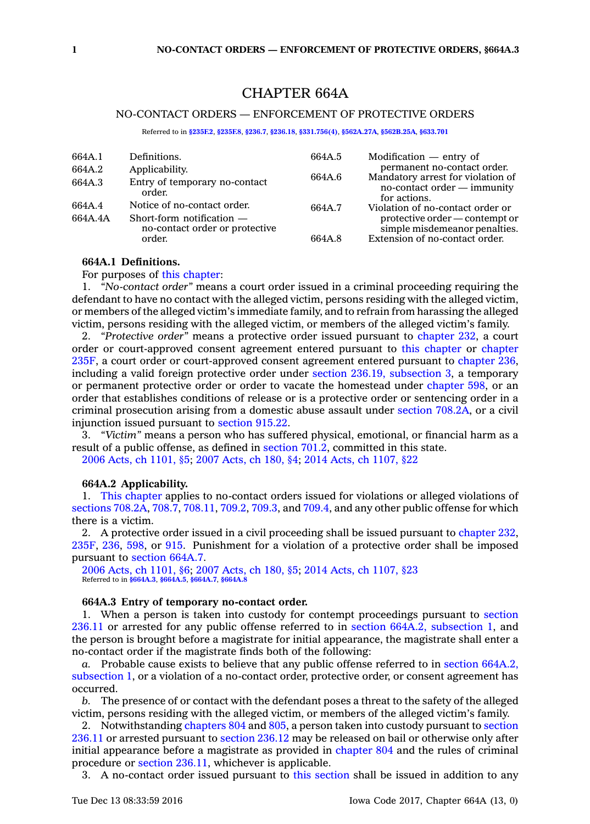# CHAPTER 664A

## NO-CONTACT ORDERS — ENFORCEMENT OF PROTECTIVE ORDERS

Referred to in **[§235F.2](https://www.legis.iowa.gov/docs/code/235F.2.pdf)**, **[§235F.8](https://www.legis.iowa.gov/docs/code/235F.8.pdf)**, **[§236.7](https://www.legis.iowa.gov/docs/code/236.7.pdf)**, **[§236.18](https://www.legis.iowa.gov/docs/code/236.18.pdf)**, **[§331.756\(4\)](https://www.legis.iowa.gov/docs/code/331.756.pdf)**, **[§562A.27A](https://www.legis.iowa.gov/docs/code/562A.27A.pdf)**, **[§562B.25A](https://www.legis.iowa.gov/docs/code/562B.25A.pdf)**, **[§633.701](https://www.legis.iowa.gov/docs/code/633.701.pdf)**

| 664A.1<br>664A.2 | Definitions.                                                            | 664A.5 | Modification $-$ entry of<br>permanent no-contact order.                                                                                                                                                                                                |
|------------------|-------------------------------------------------------------------------|--------|---------------------------------------------------------------------------------------------------------------------------------------------------------------------------------------------------------------------------------------------------------|
|                  | Applicability.                                                          |        | Mandatory arrest for violation of<br>664A.6<br>no-contact order – immunity<br>for actions.<br>Violation of no-contact order or<br>664A.7<br>protective order — contempt or<br>simple misdemeanor penalties.<br>Extension of no-contact order.<br>664A.8 |
| 664A.3           | Entry of temporary no-contact<br>order.                                 |        |                                                                                                                                                                                                                                                         |
| 664A.4           | Notice of no-contact order.                                             |        |                                                                                                                                                                                                                                                         |
| 664A.4A          | Short-form notification $-$<br>no-contact order or protective<br>order. |        |                                                                                                                                                                                                                                                         |

#### **664A.1 Definitions.**

For purposes of this [chapter](https://www.legis.iowa.gov/docs/code//664A.pdf):

1. *"No-contact order"* means <sup>a</sup> court order issued in <sup>a</sup> criminal proceeding requiring the defendant to have no contact with the alleged victim, persons residing with the alleged victim, or members of the alleged victim's immediate family, and to refrain from harassing the alleged victim, persons residing with the alleged victim, or members of the alleged victim's family.

2. *"Protective order"* means <sup>a</sup> protective order issued pursuant to [chapter](https://www.legis.iowa.gov/docs/code//232.pdf) 232, <sup>a</sup> court order or court-approved consent agreement entered pursuant to this [chapter](https://www.legis.iowa.gov/docs/code//664A.pdf) or [chapter](https://www.legis.iowa.gov/docs/code//235F.pdf) [235F](https://www.legis.iowa.gov/docs/code//235F.pdf), <sup>a</sup> court order or court-approved consent agreement entered pursuant to [chapter](https://www.legis.iowa.gov/docs/code//236.pdf) 236, including <sup>a</sup> valid foreign protective order under section 236.19, [subsection](https://www.legis.iowa.gov/docs/code/236.19.pdf) 3, <sup>a</sup> temporary or permanent protective order or order to vacate the homestead under [chapter](https://www.legis.iowa.gov/docs/code//598.pdf) 598, or an order that establishes conditions of release or is <sup>a</sup> protective order or sentencing order in <sup>a</sup> criminal prosecution arising from <sup>a</sup> domestic abuse assault under section [708.2A](https://www.legis.iowa.gov/docs/code/708.2A.pdf), or <sup>a</sup> civil injunction issued pursuant to [section](https://www.legis.iowa.gov/docs/code/915.22.pdf) 915.22.

3. *"Victim"* means <sup>a</sup> person who has suffered physical, emotional, or financial harm as <sup>a</sup> result of <sup>a</sup> public offense, as defined in [section](https://www.legis.iowa.gov/docs/code/701.2.pdf) 701.2, committed in this state. 2006 Acts, ch [1101,](https://www.legis.iowa.gov/docs/acts/2006/CH1101.pdf) §5; 2007 [Acts,](https://www.legis.iowa.gov/docs/acts/2007/CH0180.pdf) ch 180, §4; 2014 Acts, ch [1107,](https://www.legis.iowa.gov/docs/acts/2014/CH1107.pdf) §22

### **664A.2 Applicability.**

1. This [chapter](https://www.legis.iowa.gov/docs/code//664A.pdf) applies to no-contact orders issued for violations or alleged violations of sections [708.2A](https://www.legis.iowa.gov/docs/code/708.2A.pdf), [708.7](https://www.legis.iowa.gov/docs/code/708.7.pdf), [708.11](https://www.legis.iowa.gov/docs/code/708.11.pdf), [709.2](https://www.legis.iowa.gov/docs/code/709.2.pdf), [709.3](https://www.legis.iowa.gov/docs/code/709.3.pdf), and [709.4](https://www.legis.iowa.gov/docs/code/709.4.pdf), and any other public offense for which there is <sup>a</sup> victim.

2. A protective order issued in <sup>a</sup> civil proceeding shall be issued pursuant to [chapter](https://www.legis.iowa.gov/docs/code//232.pdf) 232, [235F](https://www.legis.iowa.gov/docs/code//235F.pdf), [236](https://www.legis.iowa.gov/docs/code//236.pdf), [598](https://www.legis.iowa.gov/docs/code//598.pdf), or [915](https://www.legis.iowa.gov/docs/code//915.pdf). Punishment for <sup>a</sup> violation of <sup>a</sup> protective order shall be imposed pursuant to [section](https://www.legis.iowa.gov/docs/code/664A.7.pdf) 664A.7.

2006 Acts, ch [1101,](https://www.legis.iowa.gov/docs/acts/2006/CH1101.pdf) §6; 2007 [Acts,](https://www.legis.iowa.gov/docs/acts/2007/CH0180.pdf) ch 180, §5; 2014 Acts, ch [1107,](https://www.legis.iowa.gov/docs/acts/2014/CH1107.pdf) §23 Referred to in **[§664A.3](https://www.legis.iowa.gov/docs/code/664A.3.pdf)**, **[§664A.5](https://www.legis.iowa.gov/docs/code/664A.5.pdf)**, **[§664A.7](https://www.legis.iowa.gov/docs/code/664A.7.pdf)**, **[§664A.8](https://www.legis.iowa.gov/docs/code/664A.8.pdf)**

### **664A.3 Entry of temporary no-contact order.**

1. When <sup>a</sup> person is taken into custody for contempt proceedings pursuant to [section](https://www.legis.iowa.gov/docs/code/236.11.pdf) [236.11](https://www.legis.iowa.gov/docs/code/236.11.pdf) or arrested for any public offense referred to in section 664A.2, [subsection](https://www.legis.iowa.gov/docs/code/664A.2.pdf) 1, and the person is brought before <sup>a</sup> magistrate for initial appearance, the magistrate shall enter <sup>a</sup> no-contact order if the magistrate finds both of the following:

*a.* Probable cause exists to believe that any public offense referred to in section [664A.2,](https://www.legis.iowa.gov/docs/code/664A.2.pdf) [subsection](https://www.legis.iowa.gov/docs/code/664A.2.pdf) 1, or <sup>a</sup> violation of <sup>a</sup> no-contact order, protective order, or consent agreement has occurred.

*b.* The presence of or contact with the defendant poses <sup>a</sup> threat to the safety of the alleged victim, persons residing with the alleged victim, or members of the alleged victim's family.

2. Notwithstanding [chapters](https://www.legis.iowa.gov/docs/code//804.pdf) 804 and [805](https://www.legis.iowa.gov/docs/code//805.pdf), <sup>a</sup> person taken into custody pursuant to [section](https://www.legis.iowa.gov/docs/code/236.11.pdf) [236.11](https://www.legis.iowa.gov/docs/code/236.11.pdf) or arrested pursuant to [section](https://www.legis.iowa.gov/docs/code/236.12.pdf) 236.12 may be released on bail or otherwise only after initial appearance before <sup>a</sup> magistrate as provided in [chapter](https://www.legis.iowa.gov/docs/code//804.pdf) 804 and the rules of criminal procedure or section [236.11](https://www.legis.iowa.gov/docs/code/236.11.pdf), whichever is applicable.

3. A no-contact order issued pursuant to this [section](https://www.legis.iowa.gov/docs/code/664A.3.pdf) shall be issued in addition to any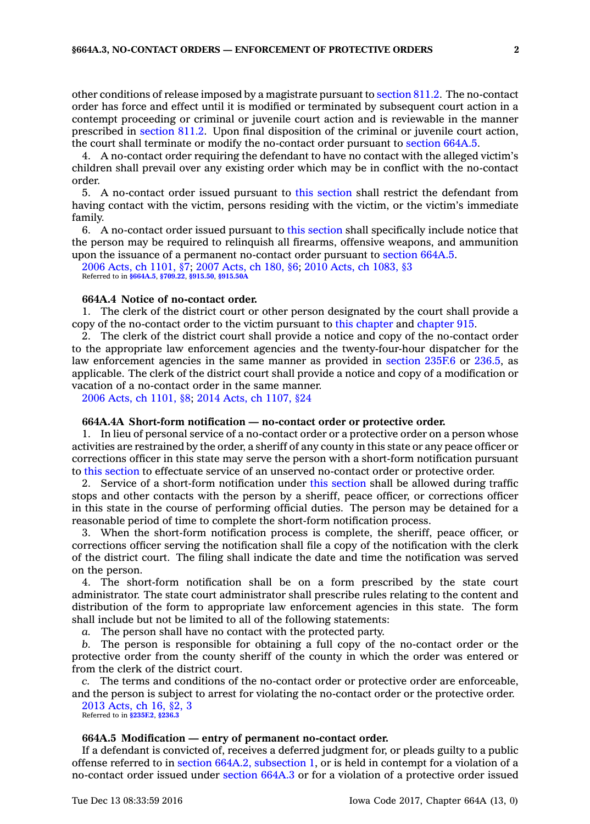other conditions of release imposed by <sup>a</sup> magistrate pursuant to [section](https://www.legis.iowa.gov/docs/code/811.2.pdf) 811.2. The no-contact order has force and effect until it is modified or terminated by subsequent court action in <sup>a</sup> contempt proceeding or criminal or juvenile court action and is reviewable in the manner prescribed in [section](https://www.legis.iowa.gov/docs/code/811.2.pdf) 811.2. Upon final disposition of the criminal or juvenile court action, the court shall terminate or modify the no-contact order pursuant to [section](https://www.legis.iowa.gov/docs/code/664A.5.pdf) 664A.5.

4. A no-contact order requiring the defendant to have no contact with the alleged victim's children shall prevail over any existing order which may be in conflict with the no-contact order.

5. A no-contact order issued pursuant to this [section](https://www.legis.iowa.gov/docs/code/664A.3.pdf) shall restrict the defendant from having contact with the victim, persons residing with the victim, or the victim's immediate family.

6. A no-contact order issued pursuant to this [section](https://www.legis.iowa.gov/docs/code/664A.3.pdf) shall specifically include notice that the person may be required to relinquish all firearms, offensive weapons, and ammunition upon the issuance of <sup>a</sup> permanent no-contact order pursuant to [section](https://www.legis.iowa.gov/docs/code/664A.5.pdf) 664A.5.

2006 Acts, ch [1101,](https://www.legis.iowa.gov/docs/acts/2006/CH1101.pdf) §7; 2007 [Acts,](https://www.legis.iowa.gov/docs/acts/2007/CH0180.pdf) ch 180, §6; 2010 Acts, ch [1083,](https://www.legis.iowa.gov/docs/acts/2010/CH1083.pdf) §3 Referred to in **[§664A.5](https://www.legis.iowa.gov/docs/code/664A.5.pdf)**, **[§709.22](https://www.legis.iowa.gov/docs/code/709.22.pdf)**, **[§915.50](https://www.legis.iowa.gov/docs/code/915.50.pdf)**, **[§915.50A](https://www.legis.iowa.gov/docs/code/915.50A.pdf)**

## **664A.4 Notice of no-contact order.**

1. The clerk of the district court or other person designated by the court shall provide <sup>a</sup> copy of the no-contact order to the victim pursuant to this [chapter](https://www.legis.iowa.gov/docs/code//664A.pdf) and [chapter](https://www.legis.iowa.gov/docs/code//915.pdf) 915.

2. The clerk of the district court shall provide <sup>a</sup> notice and copy of the no-contact order to the appropriate law enforcement agencies and the twenty-four-hour dispatcher for the law enforcement agencies in the same manner as provided in [section](https://www.legis.iowa.gov/docs/code/235F.6.pdf) 235F.6 or [236.5](https://www.legis.iowa.gov/docs/code/236.5.pdf), as applicable. The clerk of the district court shall provide <sup>a</sup> notice and copy of <sup>a</sup> modification or vacation of <sup>a</sup> no-contact order in the same manner.

2006 Acts, ch [1101,](https://www.legis.iowa.gov/docs/acts/2006/CH1101.pdf) §8; 2014 Acts, ch [1107,](https://www.legis.iowa.gov/docs/acts/2014/CH1107.pdf) §24

## **664A.4A Short-form notification — no-contact order or protective order.**

1. In lieu of personal service of <sup>a</sup> no-contact order or <sup>a</sup> protective order on <sup>a</sup> person whose activities are restrained by the order, <sup>a</sup> sheriff of any county in this state or any peace officer or corrections officer in this state may serve the person with <sup>a</sup> short-form notification pursuant to this [section](https://www.legis.iowa.gov/docs/code/664A.4A.pdf) to effectuate service of an unserved no-contact order or protective order.

2. Service of <sup>a</sup> short-form notification under this [section](https://www.legis.iowa.gov/docs/code/664A.4A.pdf) shall be allowed during traffic stops and other contacts with the person by <sup>a</sup> sheriff, peace officer, or corrections officer in this state in the course of performing official duties. The person may be detained for <sup>a</sup> reasonable period of time to complete the short-form notification process.

3. When the short-form notification process is complete, the sheriff, peace officer, or corrections officer serving the notification shall file <sup>a</sup> copy of the notification with the clerk of the district court. The filing shall indicate the date and time the notification was served on the person.

4. The short-form notification shall be on <sup>a</sup> form prescribed by the state court administrator. The state court administrator shall prescribe rules relating to the content and distribution of the form to appropriate law enforcement agencies in this state. The form shall include but not be limited to all of the following statements:

*a.* The person shall have no contact with the protected party.

*b.* The person is responsible for obtaining <sup>a</sup> full copy of the no-contact order or the protective order from the county sheriff of the county in which the order was entered or from the clerk of the district court.

*c.* The terms and conditions of the no-contact order or protective order are enforceable, and the person is subject to arrest for violating the no-contact order or the protective order.

2013 [Acts,](https://www.legis.iowa.gov/docs/acts/2013/CH0016.pdf) ch 16, §2, 3 Referred to in **[§235F.2](https://www.legis.iowa.gov/docs/code/235F.2.pdf)**, **[§236.3](https://www.legis.iowa.gov/docs/code/236.3.pdf)**

### **664A.5 Modification — entry of permanent no-contact order.**

If <sup>a</sup> defendant is convicted of, receives <sup>a</sup> deferred judgment for, or pleads guilty to <sup>a</sup> public offense referred to in section 664A.2, [subsection](https://www.legis.iowa.gov/docs/code/664A.2.pdf) 1, or is held in contempt for <sup>a</sup> violation of <sup>a</sup> no-contact order issued under [section](https://www.legis.iowa.gov/docs/code/664A.3.pdf) 664A.3 or for <sup>a</sup> violation of <sup>a</sup> protective order issued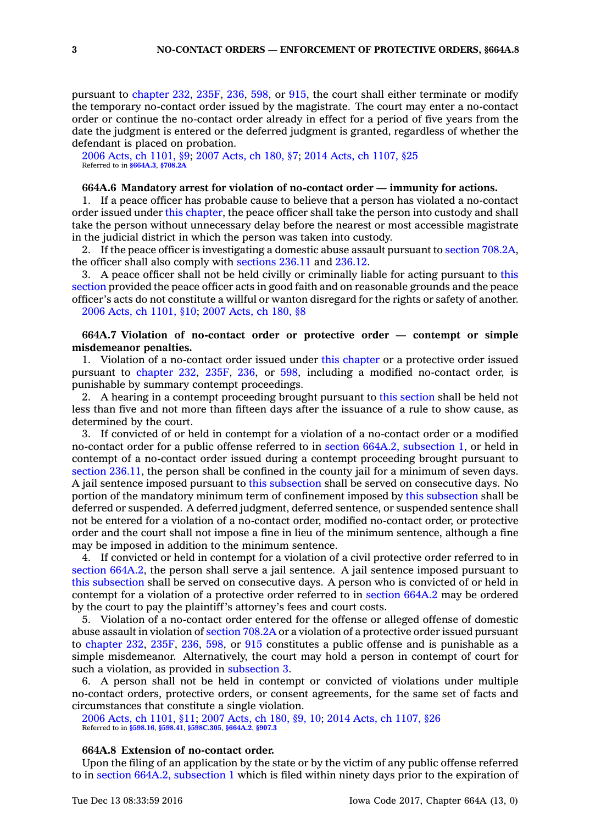pursuant to [chapter](https://www.legis.iowa.gov/docs/code//232.pdf) 232, [235F](https://www.legis.iowa.gov/docs/code//235F.pdf), [236](https://www.legis.iowa.gov/docs/code//236.pdf), [598](https://www.legis.iowa.gov/docs/code//598.pdf), or [915](https://www.legis.iowa.gov/docs/code//915.pdf), the court shall either terminate or modify the temporary no-contact order issued by the magistrate. The court may enter <sup>a</sup> no-contact order or continue the no-contact order already in effect for <sup>a</sup> period of five years from the date the judgment is entered or the deferred judgment is granted, regardless of whether the defendant is placed on probation.

2006 Acts, ch [1101,](https://www.legis.iowa.gov/docs/acts/2006/CH1101.pdf) §9; 2007 [Acts,](https://www.legis.iowa.gov/docs/acts/2007/CH0180.pdf) ch 180, §7; 2014 Acts, ch [1107,](https://www.legis.iowa.gov/docs/acts/2014/CH1107.pdf) §25 Referred to in **[§664A.3](https://www.legis.iowa.gov/docs/code/664A.3.pdf)**, **[§708.2A](https://www.legis.iowa.gov/docs/code/708.2A.pdf)**

## **664A.6 Mandatory arrest for violation of no-contact order — immunity for actions.**

1. If <sup>a</sup> peace officer has probable cause to believe that <sup>a</sup> person has violated <sup>a</sup> no-contact order issued under this [chapter](https://www.legis.iowa.gov/docs/code//664A.pdf), the peace officer shall take the person into custody and shall take the person without unnecessary delay before the nearest or most accessible magistrate in the judicial district in which the person was taken into custody.

2. If the peace officer is investigating <sup>a</sup> domestic abuse assault pursuant to section [708.2A](https://www.legis.iowa.gov/docs/code/708.2A.pdf), the officer shall also comply with [sections](https://www.legis.iowa.gov/docs/code/236.11.pdf) 236.11 and [236.12](https://www.legis.iowa.gov/docs/code/236.12.pdf).

3. A peace officer shall not be held civilly or criminally liable for acting pursuant to [this](https://www.legis.iowa.gov/docs/code/664A.6.pdf) [section](https://www.legis.iowa.gov/docs/code/664A.6.pdf) provided the peace officer acts in good faith and on reasonable grounds and the peace officer's acts do not constitute <sup>a</sup> willful or wanton disregard for the rights or safety of another. 2006 Acts, ch [1101,](https://www.legis.iowa.gov/docs/acts/2006/CH1101.pdf) §10; 2007 [Acts,](https://www.legis.iowa.gov/docs/acts/2007/CH0180.pdf) ch 180, §8

## **664A.7 Violation of no-contact order or protective order — contempt or simple misdemeanor penalties.**

1. Violation of <sup>a</sup> no-contact order issued under this [chapter](https://www.legis.iowa.gov/docs/code//664A.pdf) or <sup>a</sup> protective order issued pursuant to [chapter](https://www.legis.iowa.gov/docs/code//232.pdf) 232, [235F](https://www.legis.iowa.gov/docs/code//235F.pdf), [236](https://www.legis.iowa.gov/docs/code//236.pdf), or [598](https://www.legis.iowa.gov/docs/code//598.pdf), including <sup>a</sup> modified no-contact order, is punishable by summary contempt proceedings.

2. A hearing in <sup>a</sup> contempt proceeding brought pursuant to this [section](https://www.legis.iowa.gov/docs/code/664A.7.pdf) shall be held not less than five and not more than fifteen days after the issuance of <sup>a</sup> rule to show cause, as determined by the court.

3. If convicted of or held in contempt for <sup>a</sup> violation of <sup>a</sup> no-contact order or <sup>a</sup> modified no-contact order for <sup>a</sup> public offense referred to in section 664A.2, [subsection](https://www.legis.iowa.gov/docs/code/664A.2.pdf) 1, or held in contempt of <sup>a</sup> no-contact order issued during <sup>a</sup> contempt proceeding brought pursuant to section [236.11](https://www.legis.iowa.gov/docs/code/236.11.pdf), the person shall be confined in the county jail for <sup>a</sup> minimum of seven days. A jail sentence imposed pursuant to this [subsection](https://www.legis.iowa.gov/docs/code/664A.7.pdf) shall be served on consecutive days. No portion of the mandatory minimum term of confinement imposed by this [subsection](https://www.legis.iowa.gov/docs/code/664A.7.pdf) shall be deferred or suspended. A deferred judgment, deferred sentence, or suspended sentence shall not be entered for <sup>a</sup> violation of <sup>a</sup> no-contact order, modified no-contact order, or protective order and the court shall not impose <sup>a</sup> fine in lieu of the minimum sentence, although <sup>a</sup> fine may be imposed in addition to the minimum sentence.

4. If convicted or held in contempt for <sup>a</sup> violation of <sup>a</sup> civil protective order referred to in section [664A.2](https://www.legis.iowa.gov/docs/code/664A.2.pdf), the person shall serve a jail sentence. A jail sentence imposed pursuant to this [subsection](https://www.legis.iowa.gov/docs/code/664A.7.pdf) shall be served on consecutive days. A person who is convicted of or held in contempt for <sup>a</sup> violation of <sup>a</sup> protective order referred to in [section](https://www.legis.iowa.gov/docs/code/664A.2.pdf) 664A.2 may be ordered by the court to pay the plaintiff's attorney's fees and court costs.

5. Violation of <sup>a</sup> no-contact order entered for the offense or alleged offense of domestic abuse assault in violation of [section](https://www.legis.iowa.gov/docs/code/708.2A.pdf) 708.2A or <sup>a</sup> violation of <sup>a</sup> protective order issued pursuant to [chapter](https://www.legis.iowa.gov/docs/code//232.pdf) 232, [235F](https://www.legis.iowa.gov/docs/code//235F.pdf), [236](https://www.legis.iowa.gov/docs/code//236.pdf), [598](https://www.legis.iowa.gov/docs/code//598.pdf), or [915](https://www.legis.iowa.gov/docs/code//915.pdf) constitutes <sup>a</sup> public offense and is punishable as <sup>a</sup> simple misdemeanor. Alternatively, the court may hold <sup>a</sup> person in contempt of court for such <sup>a</sup> violation, as provided in [subsection](https://www.legis.iowa.gov/docs/code/664A.7.pdf) 3.

6. A person shall not be held in contempt or convicted of violations under multiple no-contact orders, protective orders, or consent agreements, for the same set of facts and circumstances that constitute <sup>a</sup> single violation.

2006 Acts, ch [1101,](https://www.legis.iowa.gov/docs/acts/2006/CH1101.pdf) §11; 2007 [Acts,](https://www.legis.iowa.gov/docs/acts/2007/CH0180.pdf) ch 180, §9, 10; 2014 Acts, ch [1107,](https://www.legis.iowa.gov/docs/acts/2014/CH1107.pdf) §26 Referred to in **[§598.16](https://www.legis.iowa.gov/docs/code/598.16.pdf)**, **[§598.41](https://www.legis.iowa.gov/docs/code/598.41.pdf)**, **[§598C.305](https://www.legis.iowa.gov/docs/code/598C.305.pdf)**, **[§664A.2](https://www.legis.iowa.gov/docs/code/664A.2.pdf)**, **[§907.3](https://www.legis.iowa.gov/docs/code/907.3.pdf)**

### **664A.8 Extension of no-contact order.**

Upon the filing of an application by the state or by the victim of any public offense referred to in section 664A.2, [subsection](https://www.legis.iowa.gov/docs/code/664A.2.pdf) 1 which is filed within ninety days prior to the expiration of